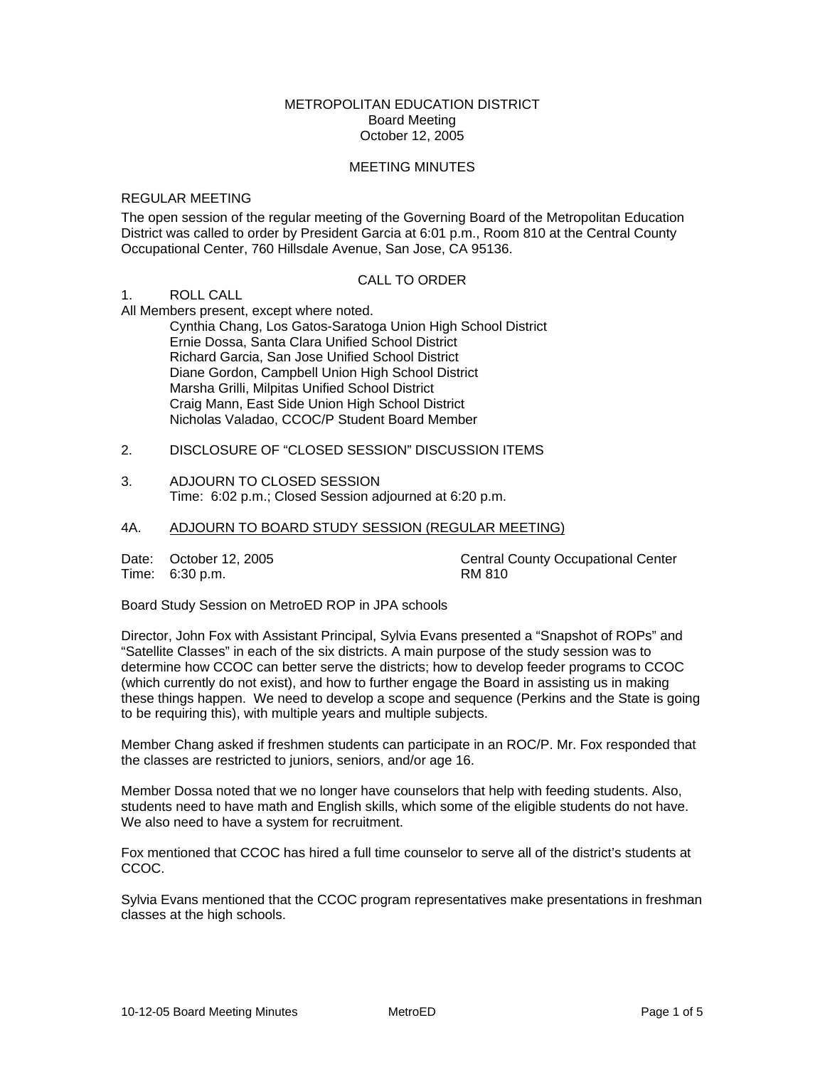## METROPOLITAN EDUCATION DISTRICT Board Meeting October 12, 2005

#### MEETING MINUTES

#### REGULAR MEETING

The open session of the regular meeting of the Governing Board of the Metropolitan Education District was called to order by President Garcia at 6:01 p.m., Room 810 at the Central County Occupational Center, 760 Hillsdale Avenue, San Jose, CA 95136.

## CALL TO ORDER

# 1. ROLL CALL

All Members present, except where noted.

 Cynthia Chang, Los Gatos-Saratoga Union High School District Ernie Dossa, Santa Clara Unified School District Richard Garcia, San Jose Unified School District Diane Gordon, Campbell Union High School District Marsha Grilli, Milpitas Unified School District Craig Mann, East Side Union High School District Nicholas Valadao, CCOC/P Student Board Member

2. DISCLOSURE OF "CLOSED SESSION" DISCUSSION ITEMS

#### 3. ADJOURN TO CLOSED SESSION Time: 6:02 p.m.; Closed Session adjourned at 6:20 p.m.

# 4A. ADJOURN TO BOARD STUDY SESSION (REGULAR MEETING)

Time: 6:30 p.m.

Date: October 12, 2005<br>
Time: 6:30 p.m.<br>
RM 810<br>
RM 810

Board Study Session on MetroED ROP in JPA schools

Director, John Fox with Assistant Principal, Sylvia Evans presented a "Snapshot of ROPs" and "Satellite Classes" in each of the six districts. A main purpose of the study session was to determine how CCOC can better serve the districts; how to develop feeder programs to CCOC (which currently do not exist), and how to further engage the Board in assisting us in making these things happen. We need to develop a scope and sequence (Perkins and the State is going to be requiring this), with multiple years and multiple subjects.

Member Chang asked if freshmen students can participate in an ROC/P. Mr. Fox responded that the classes are restricted to juniors, seniors, and/or age 16.

Member Dossa noted that we no longer have counselors that help with feeding students. Also, students need to have math and English skills, which some of the eligible students do not have. We also need to have a system for recruitment.

Fox mentioned that CCOC has hired a full time counselor to serve all of the district's students at CCOC.

Sylvia Evans mentioned that the CCOC program representatives make presentations in freshman classes at the high schools.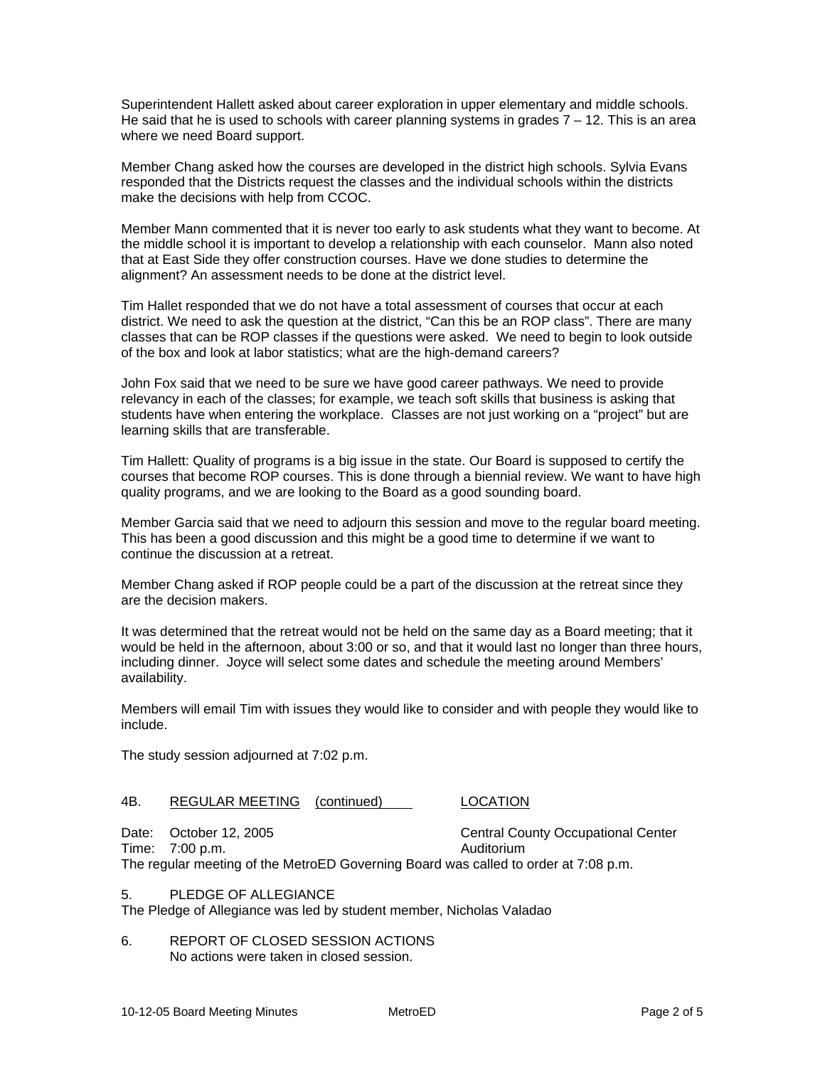Superintendent Hallett asked about career exploration in upper elementary and middle schools. He said that he is used to schools with career planning systems in grades  $7 - 12$ . This is an area where we need Board support.

Member Chang asked how the courses are developed in the district high schools. Sylvia Evans responded that the Districts request the classes and the individual schools within the districts make the decisions with help from CCOC.

Member Mann commented that it is never too early to ask students what they want to become. At the middle school it is important to develop a relationship with each counselor. Mann also noted that at East Side they offer construction courses. Have we done studies to determine the alignment? An assessment needs to be done at the district level.

Tim Hallet responded that we do not have a total assessment of courses that occur at each district. We need to ask the question at the district, "Can this be an ROP class". There are many classes that can be ROP classes if the questions were asked. We need to begin to look outside of the box and look at labor statistics; what are the high-demand careers?

John Fox said that we need to be sure we have good career pathways. We need to provide relevancy in each of the classes; for example, we teach soft skills that business is asking that students have when entering the workplace. Classes are not just working on a "project" but are learning skills that are transferable.

Tim Hallett: Quality of programs is a big issue in the state. Our Board is supposed to certify the courses that become ROP courses. This is done through a biennial review. We want to have high quality programs, and we are looking to the Board as a good sounding board.

Member Garcia said that we need to adjourn this session and move to the regular board meeting. This has been a good discussion and this might be a good time to determine if we want to continue the discussion at a retreat.

Member Chang asked if ROP people could be a part of the discussion at the retreat since they are the decision makers.

It was determined that the retreat would not be held on the same day as a Board meeting; that it would be held in the afternoon, about 3:00 or so, and that it would last no longer than three hours, including dinner. Joyce will select some dates and schedule the meeting around Members' availability.

Members will email Tim with issues they would like to consider and with people they would like to include.

The study session adjourned at 7:02 p.m.

# 4B. REGULAR MEETING (continued) LOCATION

Date: October 12, 2005 Central County Occupational Center Time: 7:00 p.m. Auditorium The regular meeting of the MetroED Governing Board was called to order at 7:08 p.m.

5. PLEDGE OF ALLEGIANCE

The Pledge of Allegiance was led by student member, Nicholas Valadao

6. REPORT OF CLOSED SESSION ACTIONS No actions were taken in closed session.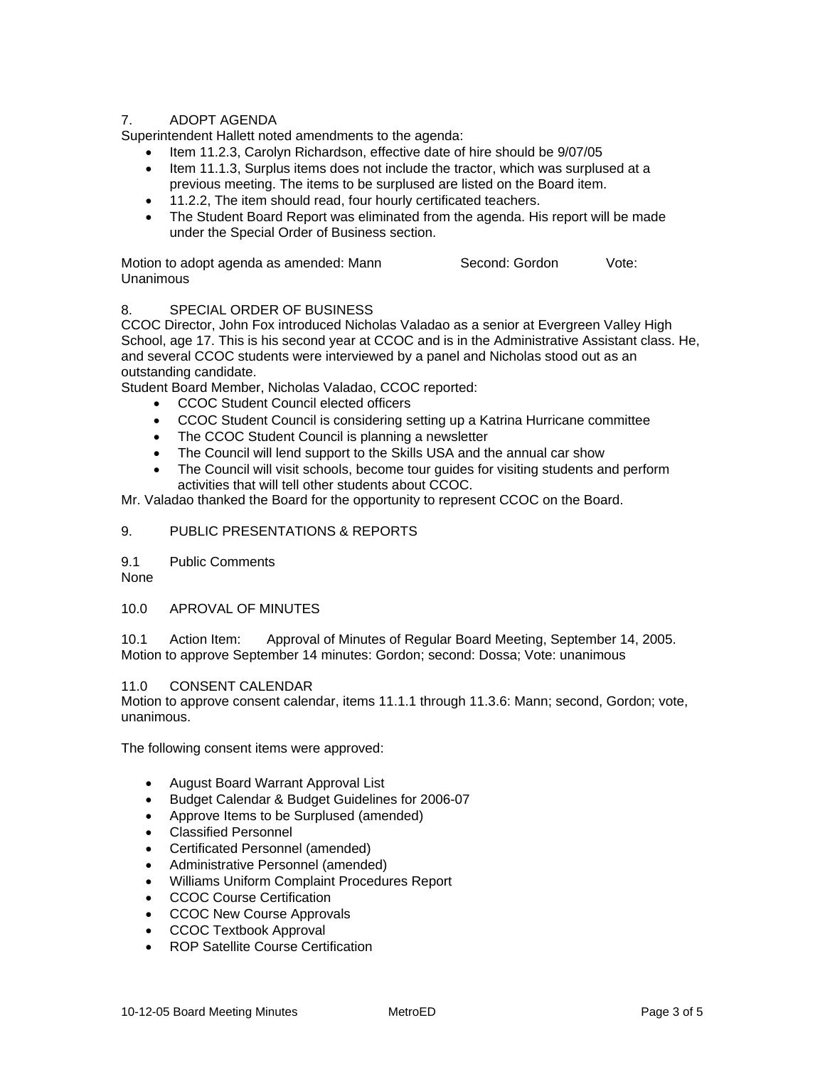# 7. ADOPT AGENDA

Superintendent Hallett noted amendments to the agenda:

- Item 11.2.3, Carolyn Richardson, effective date of hire should be 9/07/05
- Item 11.1.3, Surplus items does not include the tractor, which was surplused at a previous meeting. The items to be surplused are listed on the Board item.
- 11.2.2, The item should read, four hourly certificated teachers.
- The Student Board Report was eliminated from the agenda. His report will be made under the Special Order of Business section.

| Motion to adopt agenda as amended: Mann | Second: Gordon | Vote: |
|-----------------------------------------|----------------|-------|
| Unanimous                               |                |       |

# 8. SPECIAL ORDER OF BUSINESS

CCOC Director, John Fox introduced Nicholas Valadao as a senior at Evergreen Valley High School, age 17. This is his second year at CCOC and is in the Administrative Assistant class. He, and several CCOC students were interviewed by a panel and Nicholas stood out as an outstanding candidate.

Student Board Member, Nicholas Valadao, CCOC reported:

- CCOC Student Council elected officers
- CCOC Student Council is considering setting up a Katrina Hurricane committee
- The CCOC Student Council is planning a newsletter
- The Council will lend support to the Skills USA and the annual car show
- The Council will visit schools, become tour guides for visiting students and perform activities that will tell other students about CCOC.

Mr. Valadao thanked the Board for the opportunity to represent CCOC on the Board.

# 9. PUBLIC PRESENTATIONS & REPORTS

9.1 Public Comments

None

## 10.0 APROVAL OF MINUTES

10.1 Action Item: Approval of Minutes of Regular Board Meeting, September 14, 2005. Motion to approve September 14 minutes: Gordon; second: Dossa; Vote: unanimous

## 11.0 CONSENT CALENDAR

Motion to approve consent calendar, items 11.1.1 through 11.3.6: Mann; second, Gordon; vote, unanimous.

The following consent items were approved:

- August Board Warrant Approval List
- Budget Calendar & Budget Guidelines for 2006-07
- Approve Items to be Surplused (amended)
- Classified Personnel
- Certificated Personnel (amended)
- Administrative Personnel (amended)
- Williams Uniform Complaint Procedures Report
- CCOC Course Certification
- CCOC New Course Approvals
- CCOC Textbook Approval
- ROP Satellite Course Certification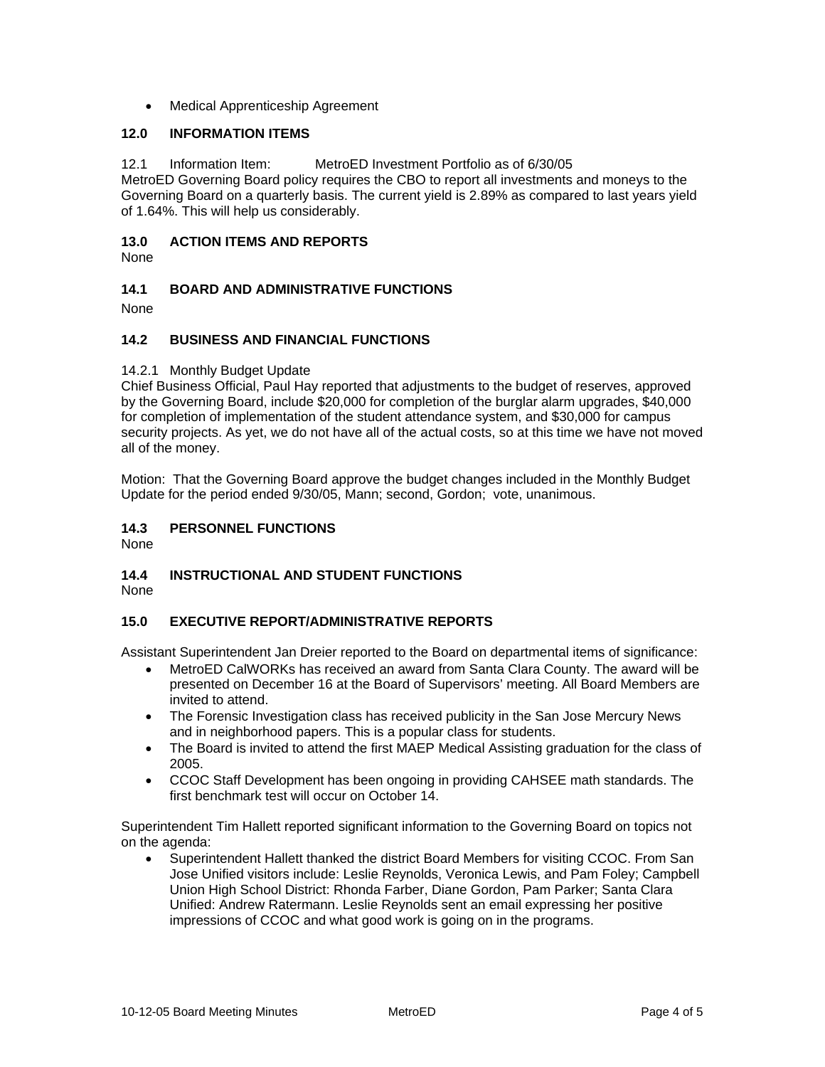• Medical Apprenticeship Agreement

## **12.0 INFORMATION ITEMS**

12.1 Information Item: MetroED Investment Portfolio as of 6/30/05 MetroED Governing Board policy requires the CBO to report all investments and moneys to the Governing Board on a quarterly basis. The current yield is 2.89% as compared to last years yield of 1.64%. This will help us considerably.

# **13.0 ACTION ITEMS AND REPORTS**

None

# **14.1 BOARD AND ADMINISTRATIVE FUNCTIONS**

None

## **14.2 BUSINESS AND FINANCIAL FUNCTIONS**

#### 14.2.1 Monthly Budget Update

Chief Business Official, Paul Hay reported that adjustments to the budget of reserves, approved by the Governing Board, include \$20,000 for completion of the burglar alarm upgrades, \$40,000 for completion of implementation of the student attendance system, and \$30,000 for campus security projects. As yet, we do not have all of the actual costs, so at this time we have not moved all of the money.

Motion: That the Governing Board approve the budget changes included in the Monthly Budget Update for the period ended 9/30/05, Mann; second, Gordon; vote, unanimous.

## **14.3 PERSONNEL FUNCTIONS**

None

# **14.4 INSTRUCTIONAL AND STUDENT FUNCTIONS**

None

# **15.0 EXECUTIVE REPORT/ADMINISTRATIVE REPORTS**

Assistant Superintendent Jan Dreier reported to the Board on departmental items of significance:

- MetroED CalWORKs has received an award from Santa Clara County. The award will be presented on December 16 at the Board of Supervisors' meeting. All Board Members are invited to attend.
- The Forensic Investigation class has received publicity in the San Jose Mercury News and in neighborhood papers. This is a popular class for students.
- The Board is invited to attend the first MAEP Medical Assisting graduation for the class of 2005.
- CCOC Staff Development has been ongoing in providing CAHSEE math standards. The first benchmark test will occur on October 14.

Superintendent Tim Hallett reported significant information to the Governing Board on topics not on the agenda:

• Superintendent Hallett thanked the district Board Members for visiting CCOC. From San Jose Unified visitors include: Leslie Reynolds, Veronica Lewis, and Pam Foley; Campbell Union High School District: Rhonda Farber, Diane Gordon, Pam Parker; Santa Clara Unified: Andrew Ratermann. Leslie Reynolds sent an email expressing her positive impressions of CCOC and what good work is going on in the programs.